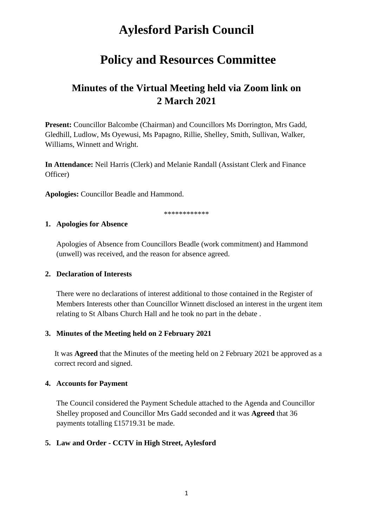# **Aylesford Parish Council**

## **Policy and Resources Committee**

### **Minutes of the Virtual Meeting held via Zoom link on 2 March 2021**

**Present:** Councillor Balcombe (Chairman) and Councillors Ms Dorrington, Mrs Gadd, Gledhill, Ludlow, Ms Oyewusi, Ms Papagno, Rillie, Shelley, Smith, Sullivan, Walker, Williams, Winnett and Wright.

**In Attendance:** Neil Harris (Clerk) and Melanie Randall (Assistant Clerk and Finance Officer)

**Apologies:** Councillor Beadle and Hammond.

\*\*\*\*\*\*\*\*\*\*\*\*

#### **1. Apologies for Absence**

Apologies of Absence from Councillors Beadle (work commitment) and Hammond (unwell) was received, and the reason for absence agreed.

#### **2. Declaration of Interests**

There were no declarations of interest additional to those contained in the Register of Members Interests other than Councillor Winnett disclosed an interest in the urgent item relating to St Albans Church Hall and he took no part in the debate .

#### **3. Minutes of the Meeting held on 2 February 2021**

It was **Agreed** that the Minutes of the meeting held on 2 February 2021 be approved as a correct record and signed.

#### **4. Accounts for Payment**

The Council considered the Payment Schedule attached to the Agenda and Councillor Shelley proposed and Councillor Mrs Gadd seconded and it was **Agreed** that 36 payments totalling £15719.31 be made.

#### **5. Law and Order - CCTV in High Street, Aylesford**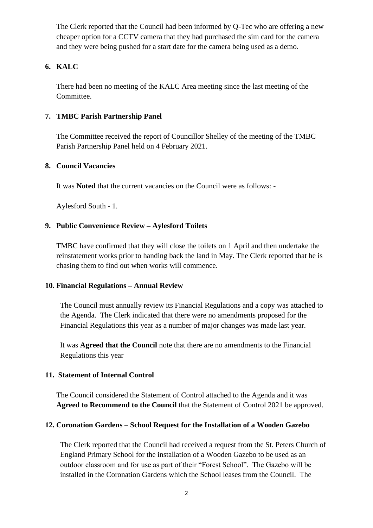The Clerk reported that the Council had been informed by Q-Tec who are offering a new cheaper option for a CCTV camera that they had purchased the sim card for the camera and they were being pushed for a start date for the camera being used as a demo.

#### **6. KALC**

There had been no meeting of the KALC Area meeting since the last meeting of the Committee.

#### **7. TMBC Parish Partnership Panel**

The Committee received the report of Councillor Shelley of the meeting of the TMBC Parish Partnership Panel held on 4 February 2021.

#### **8. Council Vacancies**

It was **Noted** that the current vacancies on the Council were as follows: -

Aylesford South - 1.

#### **9. Public Convenience Review – Aylesford Toilets**

TMBC have confirmed that they will close the toilets on 1 April and then undertake the reinstatement works prior to handing back the land in May. The Clerk reported that he is chasing them to find out when works will commence.

#### **10. Financial Regulations – Annual Review**

The Council must annually review its Financial Regulations and a copy was attached to the Agenda. The Clerk indicated that there were no amendments proposed for the Financial Regulations this year as a number of major changes was made last year.

It was **Agreed that the Council** note that there are no amendments to the Financial Regulations this year

#### **11. Statement of Internal Control**

The Council considered the Statement of Control attached to the Agenda and it was **Agreed to Recommend to the Council** that the Statement of Control 2021 be approved.

#### **12. Coronation Gardens – School Request for the Installation of a Wooden Gazebo**

The Clerk reported that the Council had received a request from the St. Peters Church of England Primary School for the installation of a Wooden Gazebo to be used as an outdoor classroom and for use as part of their "Forest School". The Gazebo will be installed in the Coronation Gardens which the School leases from the Council. The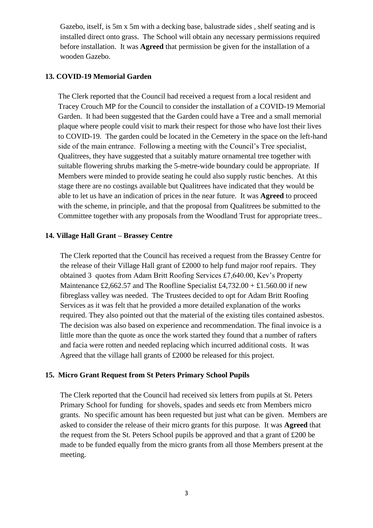Gazebo, itself, is 5m x 5m with a decking base, balustrade sides , shelf seating and is installed direct onto grass. The School will obtain any necessary permissions required before installation. It was **Agreed** that permission be given for the installation of a wooden Gazebo.

#### **13. COVID-19 Memorial Garden**

The Clerk reported that the Council had received a request from a local resident and Tracey Crouch MP for the Council to consider the installation of a COVID-19 Memorial Garden. It had been suggested that the Garden could have a Tree and a small memorial plaque where people could visit to mark their respect for those who have lost their lives to COVID-19. The garden could be located in the Cemetery in the space on the left-hand side of the main entrance. Following a meeting with the Council's Tree specialist, Qualitrees, they have suggested that a suitably mature ornamental tree together with suitable flowering shrubs marking the 5-metre-wide boundary could be appropriate. If Members were minded to provide seating he could also supply rustic benches. At this stage there are no costings available but Qualitrees have indicated that they would be able to let us have an indication of prices in the near future. It was **Agreed** to proceed with the scheme, in principle, and that the proposal from Qualitrees be submitted to the Committee together with any proposals from the Woodland Trust for appropriate trees..

#### **14. Village Hall Grant – Brassey Centre**

The Clerk reported that the Council has received a request from the Brassey Centre for the release of their Village Hall grant of £2000 to help fund major roof repairs. They obtained 3 quotes from Adam Britt Roofing Services £7,640.00, Kev's Property Maintenance £2,662.57 and The Roofline Specialist £4,732.00 + £1.560.00 if new fibreglass valley was needed. The Trustees decided to opt for Adam Britt Roofing Services as it was felt that he provided a more detailed explanation of the works required. They also pointed out that the material of the existing tiles contained asbestos. The decision was also based on experience and recommendation. The final invoice is a little more than the quote as once the work started they found that a number of rafters and facia were rotten and needed replacing which incurred additional costs. It was Agreed that the village hall grants of £2000 be released for this project.

#### **15. Micro Grant Request from St Peters Primary School Pupils**

The Clerk reported that the Council had received six letters from pupils at St. Peters Primary School for funding for shovels, spades and seeds etc from Members micro grants. No specific amount has been requested but just what can be given. Members are asked to consider the release of their micro grants for this purpose. It was **Agreed** that the request from the St. Peters School pupils be approved and that a grant of £200 be made to be funded equally from the micro grants from all those Members present at the meeting.